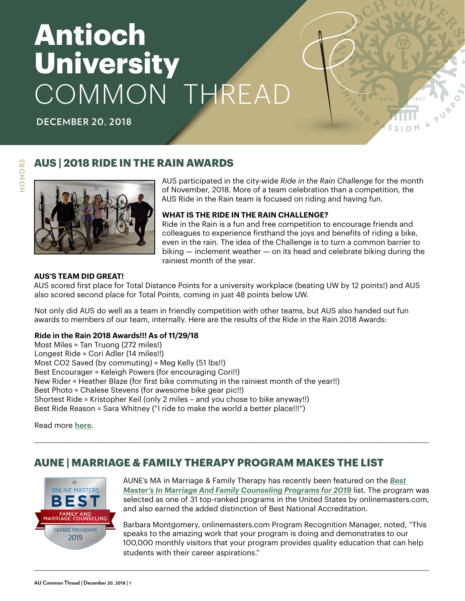# **Antioch University** COMMON THREAD

**DECEMBER 20, 2018**

#### **AUS | 2018 RIDE IN THE RAIN AWARDS**





AUS participated in the city-wide *Ride in the Rain Challenge* for the month of November, 2018. More of a team celebration than a competition, the AUS Ride in the Rain team is focused on riding and having fun.

**PURP** 

#### **WHAT IS THE RIDE IN THE RAIN CHALLENGE?**

Ride in the Rain is a fun and free competition to encourage friends and colleagues to experience firsthand the joys and benefits of riding a bike, even in the rain. The idea of the Challenge is to turn a common barrier to biking — inclement weather — on its head and celebrate biking during the rainiest month of the year.

#### **AUS'S TEAM DID GREAT!**

AUS scored first place for Total Distance Points for a university workplace (beating UW by 12 points!) and AUS also scored second place for Total Points, coming in just 48 points below UW.

Not only did AUS do well as a team in friendly competition with other teams, but AUS also handed out fun awards to members of our team, internally. Here are the results of the Ride in the Rain 2018 Awards:

#### **Ride in the Rain 2018 Awards!!! As of 11/29/18**

Most Miles = Tan Truong (272 miles!) Longest Ride = Cori Adler (14 miles!!) Most CO2 Saved (by commuting) = Meg Kelly (51 lbs!!) Best Encourager = Keleigh Powers (for encouraging Cori!!) New Rider = Heather Blaze (for first bike commuting in the rainiest month of the year!!) Best Photo = Chalese Stevens (for awesome bike gear pic!!) Shortest Ride = Kristopher Keil (only 2 miles – and you chose to bike anyway!!) Best Ride Reason = Sara Whitney ("I ride to make the world a better place!!!")

Read more **[here](https://www.lovetoride.net/washington/teams/9796?locale=en-US)**.

### **AUNE | MARRIAGE & FAMILY THERAPY PROGRAM MAKES THE LIST**

\_\_\_\_\_\_\_\_\_\_\_\_\_\_\_\_\_\_\_\_\_\_\_\_\_\_\_\_\_\_\_\_\_\_\_\_\_\_\_\_\_\_\_\_\_\_\_\_\_\_\_\_\_\_\_\_\_\_\_\_\_\_\_\_\_\_\_\_\_\_\_\_\_\_\_\_\_\_\_\_\_\_\_\_\_\_\_\_\_\_\_\_\_\_\_\_\_\_\_\_\_\_\_\_

\_\_\_\_\_\_\_\_\_\_\_\_\_\_\_\_\_\_\_\_\_\_\_\_\_\_\_\_\_\_\_\_\_\_\_\_\_\_\_\_\_\_\_\_\_\_\_\_\_\_\_\_\_\_\_\_\_\_\_\_\_\_\_\_\_\_\_\_\_\_\_\_\_\_\_\_\_\_\_\_\_\_\_\_\_\_\_\_\_\_\_\_\_\_\_\_\_\_\_\_\_\_\_\_



AUNE's MA in Marriage & Family Therapy has recently been featured on the *[Best](https://www.onlinemasters.com/best-degree-programs/counseling/marriage-and-family-counseling/)  [Master's In Marriage And Family Counseling Programs for 2019](https://www.onlinemasters.com/best-degree-programs/counseling/marriage-and-family-counseling/)* list. The program was selected as one of 31 top-ranked programs in the United States by onlinemasters.com, and also earned the added distinction of Best National Accreditation.

Barbara Montgomery, onlinemasters.com Program Recognition Manager, noted, "This speaks to the amazing work that your program is doing and demonstrates to our 100,000 monthly visitors that your program provides quality education that can help students with their career aspirations."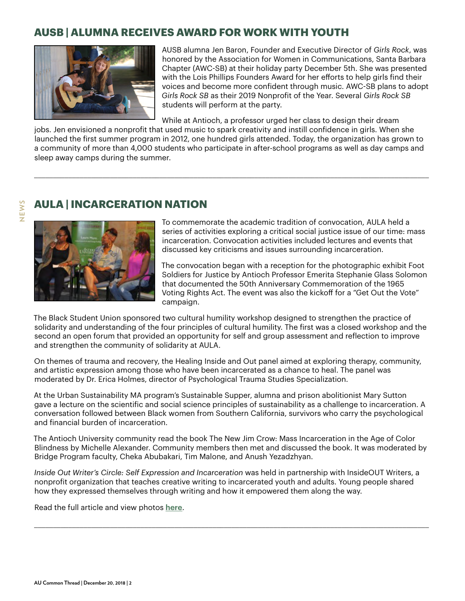## **AUSB | ALUMNA RECEIVES AWARD FOR WORK WITH YOUTH**



AUSB alumna Jen Baron, Founder and Executive Director of *Girls Rock*, was honored by the Association for Women in Communications, Santa Barbara Chapter (AWC-SB) at their holiday party December 5th. She was presented with the Lois Phillips Founders Award for her efforts to help girls find their voices and become more confident through music. AWC-SB plans to adopt *Girls Rock SB* as their 2019 Nonprofit of the Year. Several *Girls Rock SB* students will perform at the party.

While at Antioch, a professor urged her class to design their dream

jobs. Jen envisioned a nonprofit that used music to spark creativity and instill confidence in girls. When she launched the first summer program in 2012, one hundred girls attended. Today, the organization has grown to a community of more than 4,000 students who participate in after-school programs as well as day camps and sleep away camps during the summer.

\_\_\_\_\_\_\_\_\_\_\_\_\_\_\_\_\_\_\_\_\_\_\_\_\_\_\_\_\_\_\_\_\_\_\_\_\_\_\_\_\_\_\_\_\_\_\_\_\_\_\_\_\_\_\_\_\_\_\_\_\_\_\_\_\_\_\_\_\_\_\_\_\_\_\_\_\_\_\_\_\_\_\_\_\_\_\_\_\_\_\_\_\_\_\_\_\_\_\_\_\_\_\_\_

# **AULA | INCARCERATION NATION**



To commemorate the academic tradition of convocation, AULA held a series of activities exploring a critical social justice issue of our time: mass incarceration. Convocation activities included lectures and events that discussed key criticisms and issues surrounding incarceration.

The convocation began with a reception for the photographic exhibit Foot Soldiers for Justice by Antioch Professor Emerita Stephanie Glass Solomon that documented the 50th Anniversary Commemoration of the 1965 Voting Rights Act. The event was also the kickoff for a "Get Out the Vote" campaign.

The Black Student Union sponsored two cultural humility workshop designed to strengthen the practice of solidarity and understanding of the four principles of cultural humility. The first was a closed workshop and the second an open forum that provided an opportunity for self and group assessment and reflection to improve and strengthen the community of solidarity at AULA.

On themes of trauma and recovery, the Healing Inside and Out panel aimed at exploring therapy, community, and artistic expression among those who have been incarcerated as a chance to heal. The panel was moderated by Dr. Erica Holmes, director of Psychological Trauma Studies Specialization.

At the Urban Sustainability MA program's Sustainable Supper, alumna and prison abolitionist Mary Sutton gave a lecture on the scientific and social science principles of sustainability as a challenge to incarceration. A conversation followed between Black women from Southern California, survivors who carry the psychological and financial burden of incarceration.

The Antioch University community read the book The New Jim Crow: Mass Incarceration in the Age of Color Blindness by Michelle Alexander. Community members then met and discussed the book. It was moderated by Bridge Program faculty, Cheka Abubakari, Tim Malone, and Anush Yezadzhyan.

*Inside Out Writer's Circle: Self Expression and Incarceration* was held in partnership with InsideOUT Writers, a nonprofit organization that teaches creative writing to incarcerated youth and adults. Young people shared how they expressed themselves through writing and how it empowered them along the way.

\_\_\_\_\_\_\_\_\_\_\_\_\_\_\_\_\_\_\_\_\_\_\_\_\_\_\_\_\_\_\_\_\_\_\_\_\_\_\_\_\_\_\_\_\_\_\_\_\_\_\_\_\_\_\_\_\_\_\_\_\_\_\_\_\_\_\_\_\_\_\_\_\_\_\_\_\_\_\_\_\_\_\_\_\_\_\_\_\_\_\_\_\_\_\_\_\_\_\_\_\_\_\_\_

Read the full article and view photos **[here](https://www.antioch.edu/los-angeles/2018/12/12/incarceration-nation/)**.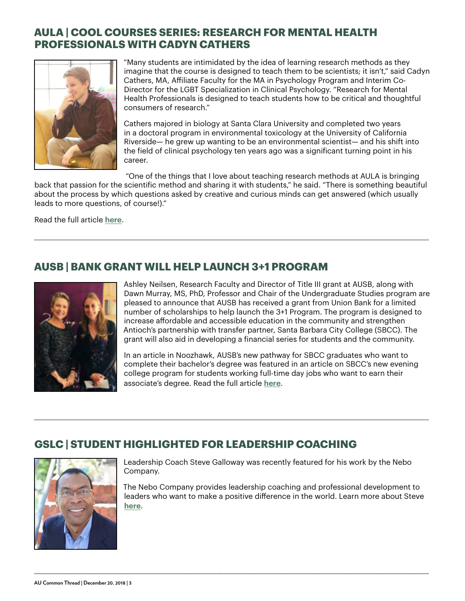## **AULA | COOL COURSES SERIES: RESEARCH FOR MENTAL HEALTH PROFESSIONALS WITH CADYN CATHERS**



"Many students are intimidated by the idea of learning research methods as they imagine that the course is designed to teach them to be scientists; it isn't," said Cadyn Cathers, MA, Affiliate Faculty for the MA in Psychology Program and Interim Co-Director for the LGBT Specialization in Clinical Psychology. "Research for Mental Health Professionals is designed to teach students how to be critical and thoughtful consumers of research."

Cathers majored in biology at Santa Clara University and completed two years in a doctoral program in environmental toxicology at the University of California Riverside— he grew up wanting to be an environmental scientist— and his shift into the field of clinical psychology ten years ago was a significant turning point in his career.

"One of the things that I love about teaching research methods at AULA is bringing

back that passion for the scientific method and sharing it with students," he said. "There is something beautiful about the process by which questions asked by creative and curious minds can get answered (which usually leads to more questions, of course!)."

\_\_\_\_\_\_\_\_\_\_\_\_\_\_\_\_\_\_\_\_\_\_\_\_\_\_\_\_\_\_\_\_\_\_\_\_\_\_\_\_\_\_\_\_\_\_\_\_\_\_\_\_\_\_\_\_\_\_\_\_\_\_\_\_\_\_\_\_\_\_\_\_\_\_\_\_\_\_\_\_\_\_\_\_\_\_\_\_\_\_\_\_\_\_\_\_\_\_\_\_\_\_\_\_

\_\_\_\_\_\_\_\_\_\_\_\_\_\_\_\_\_\_\_\_\_\_\_\_\_\_\_\_\_\_\_\_\_\_\_\_\_\_\_\_\_\_\_\_\_\_\_\_\_\_\_\_\_\_\_\_\_\_\_\_\_\_\_\_\_\_\_\_\_\_\_\_\_\_\_\_\_\_\_\_\_\_\_\_\_\_\_\_\_\_\_\_\_\_\_\_\_\_\_\_\_\_\_\_

\_\_\_\_\_\_\_\_\_\_\_\_\_\_\_\_\_\_\_\_\_\_\_\_\_\_\_\_\_\_\_\_\_\_\_\_\_\_\_\_\_\_\_\_\_\_\_\_\_\_\_\_\_\_\_\_\_\_\_\_\_\_\_\_\_\_\_\_\_\_\_\_\_\_\_\_\_\_\_\_\_\_\_\_\_\_\_\_\_\_\_\_\_\_\_\_\_\_\_\_\_\_\_\_

Read the full article **[here](https://www.antioch.edu/los-angeles/2018/11/13/cool-courses-series-research-for-mental-health-professionals-with-cadyn-cathers/)**.

# **AUSB | BANK GRANT WILL HELP LAUNCH 3+1 PROGRAM**



Ashley Neilsen, Research Faculty and Director of Title III grant at AUSB, along with Dawn Murray, MS, PhD, Professor and Chair of the Undergraduate Studies program are pleased to announce that AUSB has received a grant from Union Bank for a limited number of scholarships to help launch the 3+1 Program. The program is designed to increase affordable and accessible education in the community and strengthen Antioch's partnership with transfer partner, Santa Barbara City College (SBCC). The grant will also aid in developing a financial series for students and the community.

In an article in Noozhawk, AUSB's new pathway for SBCC graduates who want to complete their bachelor's degree was featured in an article on SBCC's new evening college program for students working full-time day jobs who want to earn their associate's degree. Read the full article **[here](https://www.noozhawk.com/article/santa_barbara_city_college_evening_classes_students?fbclid=IwAR0qyStlQ9fTywhLGQwHXBX716OSQ3WjMW68D5iqePRvZahC3yqNVpGUMLw)**.

### **GSLC | STUDENT HIGHLIGHTED FOR LEADERSHIP COACHING**



Leadership Coach Steve Galloway was recently featured for his work by the Nebo Company.

The Nebo Company provides leadership coaching and professional development to leaders who want to make a positive difference in the world. Learn more about Steve **[here](https://nebocompany.com/about/team/steve-galloway/)**.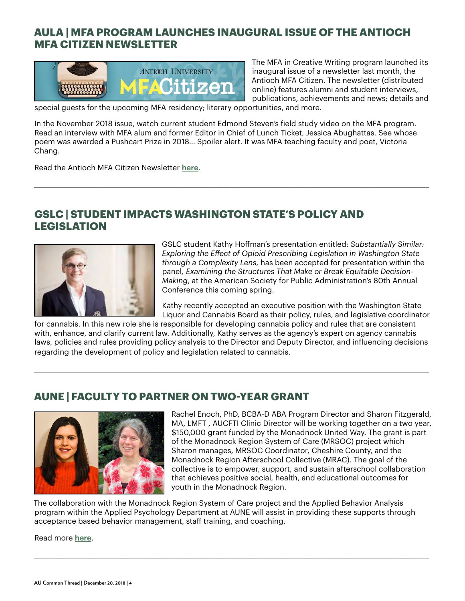# **AULA | MFA PROGRAM LAUNCHES INAUGURAL ISSUE OF THE ANTIOCH MFA CITIZEN NEWSLETTER**



The MFA in Creative Writing program launched its inaugural issue of a newsletter last month, the Antioch MFA Citizen. The newsletter (distributed online) features alumni and student interviews, publications, achievements and news; details and

special guests for the upcoming MFA residency; literary opportunities, and more.

In the November 2018 issue, watch current student Edmond Steven's field study video on the MFA program. Read an interview with MFA alum and former Editor in Chief of Lunch Ticket, Jessica Abughattas. See whose poem was awarded a Pushcart Prize in 2018… Spoiler alert. It was MFA teaching faculty and poet, Victoria Chang.

\_\_\_\_\_\_\_\_\_\_\_\_\_\_\_\_\_\_\_\_\_\_\_\_\_\_\_\_\_\_\_\_\_\_\_\_\_\_\_\_\_\_\_\_\_\_\_\_\_\_\_\_\_\_\_\_\_\_\_\_\_\_\_\_\_\_\_\_\_\_\_\_\_\_\_\_\_\_\_\_\_\_\_\_\_\_\_\_\_\_\_\_\_\_\_\_\_\_\_\_\_\_\_\_

Read the Antioch MFA Citizen Newsletter **[here](https://www.antioch.edu/los-angeles/2018/11/27/announcing-the-inaugural-issue-of-the-antioch-mfa-citizen-newsletter-11-18/)**.

#### **GSLC | STUDENT IMPACTS WASHINGTON STATE'S POLICY AND LEGISLATION**



GSLC student Kathy Hoffman's presentation entitled: *Substantially Similar: Exploring the Effect of Opioid Prescribing Legislation in Washington State through a Complexity Lens,* has been accepted for presentation within the panel*, Examining the Structures That Make or Break Equitable Decision-Making*, at the American Society for Public Administration's 80th Annual Conference this coming spring.

Kathy recently accepted an executive position with the Washington State Liquor and Cannabis Board as their policy, rules, and legislative coordinator

for cannabis. In this new role she is responsible for developing cannabis policy and rules that are consistent with, enhance, and clarify current law. Additionally, Kathy serves as the agency's expert on agency cannabis laws, policies and rules providing policy analysis to the Director and Deputy Director, and influencing decisions regarding the development of policy and legislation related to cannabis.

\_\_\_\_\_\_\_\_\_\_\_\_\_\_\_\_\_\_\_\_\_\_\_\_\_\_\_\_\_\_\_\_\_\_\_\_\_\_\_\_\_\_\_\_\_\_\_\_\_\_\_\_\_\_\_\_\_\_\_\_\_\_\_\_\_\_\_\_\_\_\_\_\_\_\_\_\_\_\_\_\_\_\_\_\_\_\_\_\_\_\_\_\_\_\_\_\_\_\_\_\_\_\_\_

#### **AUNE | FACULTY TO PARTNER ON TWO-YEAR GRANT**



Rachel Enoch, PhD, BCBA-D ABA Program Director and Sharon Fitzgerald, MA, LMFT , AUCFTI Clinic Director will be working together on a two year, \$150,000 grant funded by the Monadnock United Way. The grant is part of the Monadnock Region System of Care (MRSOC) project which Sharon manages, MRSOC Coordinator, Cheshire County, and the Monadnock Region Afterschool Collective (MRAC). The goal of the collective is to empower, support, and sustain afterschool collaboration that achieves positive social, health, and educational outcomes for youth in the Monadnock Region.

The collaboration with the Monadnock Region System of Care project and the Applied Behavior Analysis program within the Applied Psychology Department at AUNE will assist in providing these supports through acceptance based behavior management, staff training, and coaching.

\_\_\_\_\_\_\_\_\_\_\_\_\_\_\_\_\_\_\_\_\_\_\_\_\_\_\_\_\_\_\_\_\_\_\_\_\_\_\_\_\_\_\_\_\_\_\_\_\_\_\_\_\_\_\_\_\_\_\_\_\_\_\_\_\_\_\_\_\_\_\_\_\_\_\_\_\_\_\_\_\_\_\_\_\_\_\_\_\_\_\_\_\_\_\_\_\_\_\_\_\_\_\_\_

Read more **[here](https://www.antioch.edu/new-england/2018/12/12/faculty-to-partner-on-two-year-grant/)**.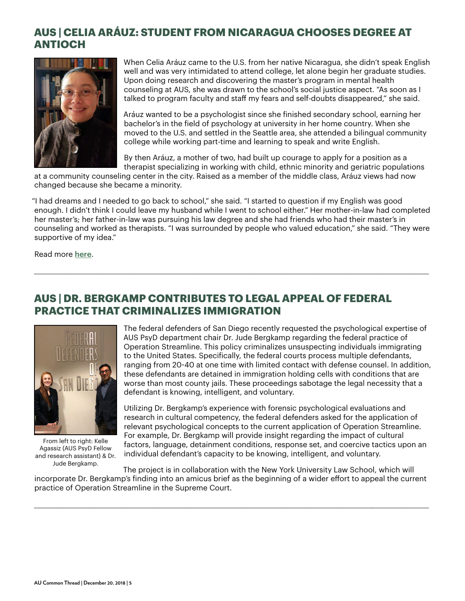## **AUS | CELIA ARÁUZ: STUDENT FROM NICARAGUA CHOOSES DEGREE AT ANTIOCH**



When Celia Aráuz came to the U.S. from her native Nicaragua, she didn't speak English well and was very intimidated to attend college, let alone begin her graduate studies. Upon doing research and discovering the master's program in mental health counseling at AUS, she was drawn to the school's social justice aspect. "As soon as I talked to program faculty and staff my fears and self-doubts disappeared," she said.

Aráuz wanted to be a psychologist since she finished secondary school, earning her bachelor's in the field of psychology at university in her home country. When she moved to the U.S. and settled in the Seattle area, she attended a bilingual community college while working part-time and learning to speak and write English.

By then Aráuz, a mother of two, had built up courage to apply for a position as a therapist specializing in working with child, ethnic minority and geriatric populations

at a community counseling center in the city. Raised as a member of the middle class, Aráuz views had now changed because she became a minority.

"I had dreams and I needed to go back to school," she said. "I started to question if my English was good enough. I didn't think I could leave my husband while I went to school either." Her mother-in-law had completed her master's; her father-in-law was pursuing his law degree and she had friends who had their master's in counseling and worked as therapists. "I was surrounded by people who valued education," she said. "They were supportive of my idea."

\_\_\_\_\_\_\_\_\_\_\_\_\_\_\_\_\_\_\_\_\_\_\_\_\_\_\_\_\_\_\_\_\_\_\_\_\_\_\_\_\_\_\_\_\_\_\_\_\_\_\_\_\_\_\_\_\_\_\_\_\_\_\_\_\_\_\_\_\_\_\_\_\_\_\_\_\_\_\_\_\_\_\_\_\_\_\_\_\_\_\_\_\_\_\_\_\_\_\_\_\_\_\_\_

Read more **[here](https://www.antioch.edu/seattle/stories/student-from-nicaragua-chooses-degree-at-antioch/)**.

# **AUS | DR. BERGKAMP CONTRIBUTES TO LEGAL APPEAL OF FEDERAL PRACTICE THAT CRIMINALIZES IMMIGRATION**



From left to right: Kelle Agassiz (AUS PsyD Fellow and research assistant) & Dr. Jude Bergkamp.

The federal defenders of San Diego recently requested the psychological expertise of AUS PsyD department chair Dr. Jude Bergkamp regarding the federal practice of Operation Streamline. This policy criminalizes unsuspecting individuals immigrating to the United States. Specifically, the federal courts process multiple defendants, ranging from 20-40 at one time with limited contact with defense counsel. In addition, these defendants are detained in immigration holding cells with conditions that are worse than most county jails. These proceedings sabotage the legal necessity that a defendant is knowing, intelligent, and voluntary.

Utilizing Dr. Bergkamp's experience with forensic psychological evaluations and research in cultural competency, the federal defenders asked for the application of relevant psychological concepts to the current application of Operation Streamline. For example, Dr. Bergkamp will provide insight regarding the impact of cultural factors, language, detainment conditions, response set, and coercive tactics upon an individual defendant's capacity to be knowing, intelligent, and voluntary.

The project is in collaboration with the New York University Law School, which will incorporate Dr. Bergkamp's finding into an amicus brief as the beginning of a wider effort to appeal the current practice of Operation Streamline in the Supreme Court.

\_\_\_\_\_\_\_\_\_\_\_\_\_\_\_\_\_\_\_\_\_\_\_\_\_\_\_\_\_\_\_\_\_\_\_\_\_\_\_\_\_\_\_\_\_\_\_\_\_\_\_\_\_\_\_\_\_\_\_\_\_\_\_\_\_\_\_\_\_\_\_\_\_\_\_\_\_\_\_\_\_\_\_\_\_\_\_\_\_\_\_\_\_\_\_\_\_\_\_\_\_\_\_\_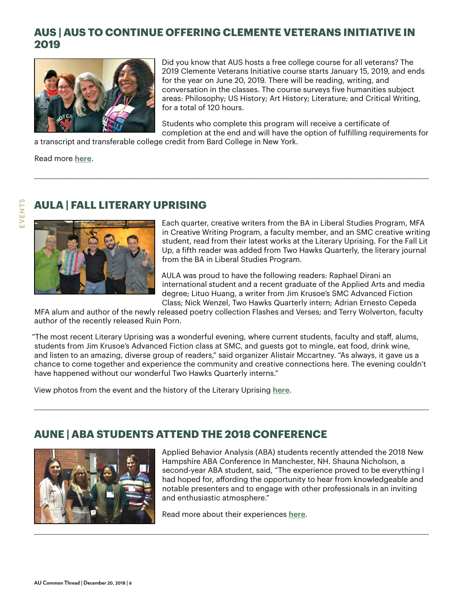### **AUS | AUS TO CONTINUE OFFERING CLEMENTE VETERANS INITIATIVE IN 2019**



Did you know that AUS hosts a free college course for all veterans? The 2019 Clemente Veterans Initiative course starts January 15, 2019, and ends for the year on June 20, 2019. There will be reading, writing, and conversation in the classes. The course surveys five humanities subject areas: Philosophy; US History; Art History; Literature; and Critical Writing, for a total of 120 hours.

Students who complete this program will receive a certificate of completion at the end and will have the option of fulfilling requirements for

a transcript and transferable college credit from Bard College in New York.

Read more **[here](https://www.antioch.edu/seattle/2018/11/14/clemente-veterans-initiative/)**.

**EVENTS**EVENTS

# **AULA | FALL LITERARY UPRISING**



Each quarter, creative writers from the BA in Liberal Studies Program, MFA in Creative Writing Program, a faculty member, and an SMC creative writing student, read from their latest works at the Literary Uprising. For the Fall Lit Up, a fifth reader was added from Two Hawks Quarterly, the literary journal from the BA in Liberal Studies Program.

AULA was proud to have the following readers: Raphael Dirani an international student and a recent graduate of the Applied Arts and media degree; Lituo Huang, a writer from Jim Krusoe's SMC Advanced Fiction Class; Nick Wenzel, Two Hawks Quarterly intern; Adrian Ernesto Cepeda

MFA alum and author of the newly released poetry collection Flashes and Verses; and Terry Wolverton, faculty author of the recently released Ruin Porn.

\_\_\_\_\_\_\_\_\_\_\_\_\_\_\_\_\_\_\_\_\_\_\_\_\_\_\_\_\_\_\_\_\_\_\_\_\_\_\_\_\_\_\_\_\_\_\_\_\_\_\_\_\_\_\_\_\_\_\_\_\_\_\_\_\_\_\_\_\_\_\_\_\_\_\_\_\_\_\_\_\_\_\_\_\_\_\_\_\_\_\_\_\_\_\_\_\_\_\_\_\_\_\_\_

"The most recent Literary Uprising was a wonderful evening, where current students, faculty and staff, alums, students from Jim Krusoe's Advanced Fiction class at SMC, and guests got to mingle, eat food, drink wine, and listen to an amazing, diverse group of readers," said organizer Alistair Mccartney. "As always, it gave us a chance to come together and experience the community and creative connections here. The evening couldn't have happened without our wonderful Two Hawks Quarterly interns."

\_\_\_\_\_\_\_\_\_\_\_\_\_\_\_\_\_\_\_\_\_\_\_\_\_\_\_\_\_\_\_\_\_\_\_\_\_\_\_\_\_\_\_\_\_\_\_\_\_\_\_\_\_\_\_\_\_\_\_\_\_\_\_\_\_\_\_\_\_\_\_\_\_\_\_\_\_\_\_\_\_\_\_\_\_\_\_\_\_\_\_\_\_\_\_\_\_\_\_\_\_\_\_\_

View photos from the event and the history of the Literary Uprising **[here](https://www.antioch.edu/los-angeles/2018/11/16/fall-literary-uprising/)**.

### **AUNE | ABA STUDENTS ATTEND THE 2018 CONFERENCE**



**AU Common Thread | December 20, 2018 | 6**

Applied Behavior Analysis (ABA) students recently attended the 2018 New Hampshire ABA Conference In Manchester, NH. Shauna Nicholson, a second-year ABA student, said, "The experience proved to be everything I had hoped for, affording the opportunity to hear from knowledgeable and notable presenters and to engage with other professionals in an inviting and enthusiastic atmosphere."

Read more about their experiences **[here](https://www.antioch.edu/new-england/2018/12/13/aba-students-attend-the-2018-conference/
)**.

\_\_\_\_\_\_\_\_\_\_\_\_\_\_\_\_\_\_\_\_\_\_\_\_\_\_\_\_\_\_\_\_\_\_\_\_\_\_\_\_\_\_\_\_\_\_\_\_\_\_\_\_\_\_\_\_\_\_\_\_\_\_\_\_\_\_\_\_\_\_\_\_\_\_\_\_\_\_\_\_\_\_\_\_\_\_\_\_\_\_\_\_\_\_\_\_\_\_\_\_\_\_\_\_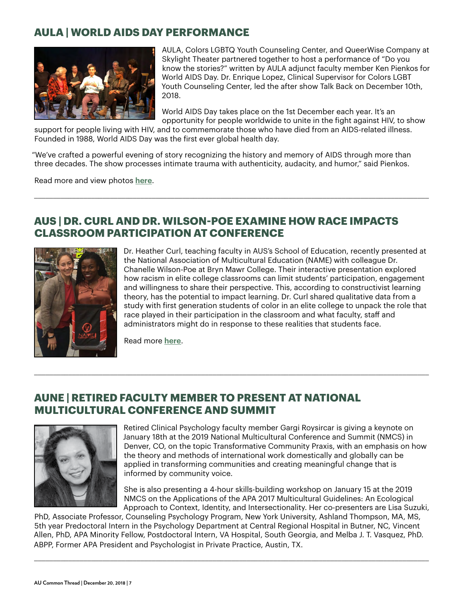#### **AULA | WORLD AIDS DAY PERFORMANCE**



AULA, Colors LGBTQ Youth Counseling Center, and QueerWise Company at Skylight Theater partnered together to host a performance of "Do you know the stories?" written by AULA adjunct faculty member Ken Pienkos for World AIDS Day. Dr. Enrique Lopez, Clinical Supervisor for Colors LGBT Youth Counseling Center, led the after show Talk Back on December 10th, 2018.

World AIDS Day takes place on the 1st December each year. It's an opportunity for people worldwide to unite in the fight against HIV, to show

support for people living with HIV, and to commemorate those who have died from an AIDS-related illness. Founded in 1988, World AIDS Day was the first ever global health day.

"We've crafted a powerful evening of story recognizing the history and memory of AIDS through more than three decades. The show processes intimate trauma with authenticity, audacity, and humor," said Pienkos.

\_\_\_\_\_\_\_\_\_\_\_\_\_\_\_\_\_\_\_\_\_\_\_\_\_\_\_\_\_\_\_\_\_\_\_\_\_\_\_\_\_\_\_\_\_\_\_\_\_\_\_\_\_\_\_\_\_\_\_\_\_\_\_\_\_\_\_\_\_\_\_\_\_\_\_\_\_\_\_\_\_\_\_\_\_\_\_\_\_\_\_\_\_\_\_\_\_\_\_\_\_\_\_\_

Read more and view photos **[here](https://www.antioch.edu/los-angeles/2018/12/03/antioch-skylight-theater-world-aids-day-performance/)**.

#### **AUS | DR. CURL AND DR. WILSON-POE EXAMINE HOW RACE IMPACTS CLASSROOM PARTICIPATION AT CONFERENCE**



Dr. Heather Curl, teaching faculty in AUS's School of Education, recently presented at the National Association of Multicultural Education (NAME) with colleague Dr. Chanelle Wilson-Poe at Bryn Mawr College. Their interactive presentation explored how racism in elite college classrooms can limit students' participation, engagement and willingness to share their perspective. This, according to constructivist learning theory, has the potential to impact learning. Dr. Curl shared qualitative data from a study with first generation students of color in an elite college to unpack the role that race played in their participation in the classroom and what faculty, staff and administrators might do in response to these realities that students face.

Read more **[here](https://www.antioch.edu/seattle/2018/12/11/curl-and-wilson-poe-examine-how-race-impacts-classroom-participation-at-conference/)**.

#### **AUNE | RETIRED FACULTY MEMBER TO PRESENT AT NATIONAL MULTICULTURAL CONFERENCE AND SUMMIT**



Retired Clinical Psychology faculty member Gargi Roysircar is giving a keynote on January 18th at the 2019 National Multicultural Conference and Summit (NMCS) in Denver, CO, on the topic Transformative Community Praxis, with an emphasis on how the theory and methods of international work domestically and globally can be applied in transforming communities and creating meaningful change that is informed by community voice.

She is also presenting a 4-hour skills-building workshop on January 15 at the 2019 NMCS on the Applications of the APA 2017 Multicultural Guidelines: An Ecological Approach to Context, Identity, and Intersectionality. Her co-presenters are Lisa Suzuki,

PhD, Associate Professor, Counseling Psychology Program, New York University, Ashland Thompson, MA, MS, 5th year Predoctoral Intern in the Psychology Department at Central Regional Hospital in Butner, NC, Vincent Allen, PhD, APA Minority Fellow, Postdoctoral Intern, VA Hospital, South Georgia, and Melba J. T. Vasquez, PhD. ABPP, Former APA President and Psychologist in Private Practice, Austin, TX.

\_\_\_\_\_\_\_\_\_\_\_\_\_\_\_\_\_\_\_\_\_\_\_\_\_\_\_\_\_\_\_\_\_\_\_\_\_\_\_\_\_\_\_\_\_\_\_\_\_\_\_\_\_\_\_\_\_\_\_\_\_\_\_\_\_\_\_\_\_\_\_\_\_\_\_\_\_\_\_\_\_\_\_\_\_\_\_\_\_\_\_\_\_\_\_\_\_\_\_\_\_\_\_\_

\_\_\_\_\_\_\_\_\_\_\_\_\_\_\_\_\_\_\_\_\_\_\_\_\_\_\_\_\_\_\_\_\_\_\_\_\_\_\_\_\_\_\_\_\_\_\_\_\_\_\_\_\_\_\_\_\_\_\_\_\_\_\_\_\_\_\_\_\_\_\_\_\_\_\_\_\_\_\_\_\_\_\_\_\_\_\_\_\_\_\_\_\_\_\_\_\_\_\_\_\_\_\_\_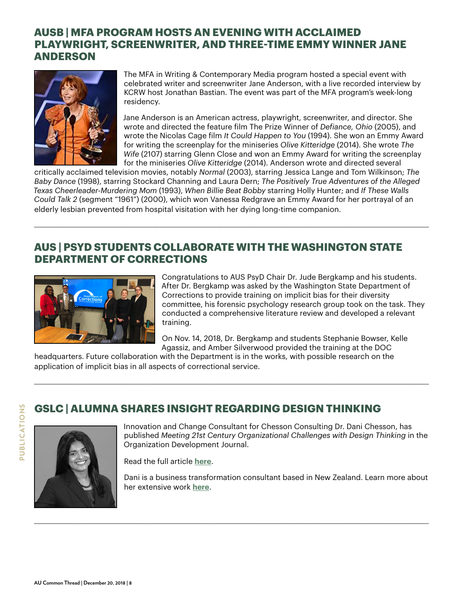#### **AUSB | MFA PROGRAM HOSTS AN EVENING WITH ACCLAIMED PLAYWRIGHT, SCREENWRITER, AND THREE-TIME EMMY WINNER JANE ANDERSON**



The MFA in Writing & Contemporary Media program hosted a special event with celebrated writer and screenwriter Jane Anderson, with a live recorded interview by KCRW host Jonathan Bastian. The event was part of the MFA program's week-long residency.

Jane Anderson is an American actress, playwright, screenwriter, and director. She wrote and directed the feature film The Prize Winner of *Defiance, Ohio* (2005), and wrote the Nicolas Cage film *It Could Happen to You* (1994). She won an Emmy Award for writing the screenplay for the miniseries *Olive Kitteridge* (2014). She wrote *The Wife* (2107) starring Glenn Close and won an Emmy Award for writing the screenplay for the miniseries *Olive Kitteridge* (2014). Anderson wrote and directed several

critically acclaimed television movies, notably *Normal* (2003), starring Jessica Lange and Tom Wilkinson; *The Baby Dance* (1998), starring Stockard Channing and Laura Dern; *The Positively True Adventures of the Alleged Texas Cheerleader-Murdering Mom* (1993), *When Billie Beat Bobby* starring Holly Hunter; and *If These Walls Could Talk 2* (segment "1961") (2000), which won Vanessa Redgrave an Emmy Award for her portrayal of an elderly lesbian prevented from hospital visitation with her dying long-time companion.

\_\_\_\_\_\_\_\_\_\_\_\_\_\_\_\_\_\_\_\_\_\_\_\_\_\_\_\_\_\_\_\_\_\_\_\_\_\_\_\_\_\_\_\_\_\_\_\_\_\_\_\_\_\_\_\_\_\_\_\_\_\_\_\_\_\_\_\_\_\_\_\_\_\_\_\_\_\_\_\_\_\_\_\_\_\_\_\_\_\_\_\_\_\_\_\_\_\_\_\_\_\_\_\_

## **AUS | PSYD STUDENTS COLLABORATE WITH THE WASHINGTON STATE DEPARTMENT OF CORRECTIONS**



Congratulations to AUS PsyD Chair Dr. Jude Bergkamp and his students. After Dr. Bergkamp was asked by the Washington State Department of Corrections to provide training on implicit bias for their diversity committee, his forensic psychology research group took on the task. They conducted a comprehensive literature review and developed a relevant training.

On Nov. 14, 2018, Dr. Bergkamp and students Stephanie Bowser, Kelle Agassiz, and Amber Silverwood provided the training at the DOC

headquarters. Future collaboration with the Department is in the works, with possible research on the application of implicit bias in all aspects of correctional service.

\_\_\_\_\_\_\_\_\_\_\_\_\_\_\_\_\_\_\_\_\_\_\_\_\_\_\_\_\_\_\_\_\_\_\_\_\_\_\_\_\_\_\_\_\_\_\_\_\_\_\_\_\_\_\_\_\_\_\_\_\_\_\_\_\_\_\_\_\_\_\_\_\_\_\_\_\_\_\_\_\_\_\_\_\_\_\_\_\_\_\_\_\_\_\_\_\_\_\_\_\_\_\_\_

\_\_\_\_\_\_\_\_\_\_\_\_\_\_\_\_\_\_\_\_\_\_\_\_\_\_\_\_\_\_\_\_\_\_\_\_\_\_\_\_\_\_\_\_\_\_\_\_\_\_\_\_\_\_\_\_\_\_\_\_\_\_\_\_\_\_\_\_\_\_\_\_\_\_\_\_\_\_\_\_\_\_\_\_\_\_\_\_\_\_\_\_\_\_\_\_\_\_\_\_\_\_\_\_

# **GSLC | ALUMNA SHARES INSIGHT REGARDING DESIGN THINKING**



Innovation and Change Consultant for Chesson Consulting Dr. Dani Chesson, has published *Meeting 21st Century Organizational Challenges with Design Thinking* in the Organization Development Journal.

Read the full article **[here](https://designthinkerprofile.files.wordpress.com/2018/09/chesson_meeting_21st_century_organizational-challenges.pdf)**.

Dani is a business transformation consultant based in New Zealand. Learn more about her extensive work **[here](http://www.chessonconsulting.com/about.html)**.